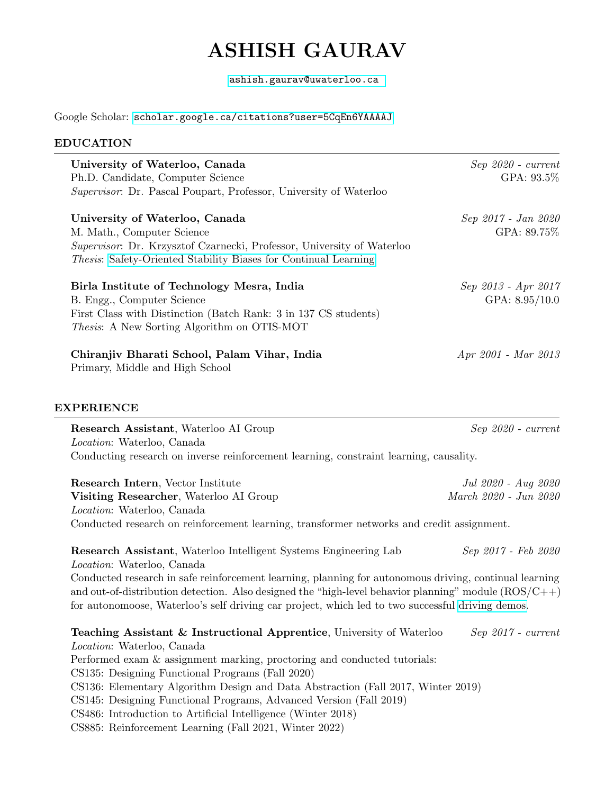# ASHISH GAURAV

[ashish.gaurav@uwaterloo.ca](mailto:ashish.gaurav@uwaterloo.ca)

Google Scholar: [scholar.google.ca/citations?user=5CqEn6YAAAAJ](https://scholar.google.ca/citations?user=5CqEn6YAAAAJ)

#### EDUCATION

| University of Waterloo, Canada                                                 | $Sep 2020$ - $current$ |
|--------------------------------------------------------------------------------|------------------------|
| Ph.D. Candidate, Computer Science                                              | GPA: 93.5%             |
| <i>Supervisor</i> : Dr. Pascal Poupart, Professor, University of Waterloo      |                        |
| University of Waterloo, Canada                                                 | Sep 2017 - Jan 2020    |
| M. Math., Computer Science                                                     | GPA: 89.75%            |
| <i>Supervisor</i> : Dr. Krzysztof Czarnecki, Professor, University of Waterloo |                        |
| <i>Thesis:</i> Safety-Oriented Stability Biases for Continual Learning         |                        |
| Birla Institute of Technology Mesra, India                                     | Sep 2013 - Apr 2017    |
| B. Engg., Computer Science                                                     | GPA: $8.95/10.0$       |
| First Class with Distinction (Batch Rank: 3 in 137 CS students)                |                        |
| <i>Thesis:</i> A New Sorting Algorithm on OTIS-MOT                             |                        |
| Chiranjiv Bharati School, Palam Vihar, India                                   | Apr 2001 - Mar 2013    |
| Primary, Middle and High School                                                |                        |
|                                                                                |                        |
| <b>EXPERIENCE</b>                                                              |                        |
| Research Assistant, Waterloo AI Group                                          | $Sep 2020$ - $current$ |
| <i>Location:</i> Waterloo, Canada                                              |                        |

Conducting research on inverse reinforcement learning, constraint learning, causality.

| <b>Research Intern, Vector Institute</b> | Jul 2020 - Aug 2020   |
|------------------------------------------|-----------------------|
| Visiting Researcher, Waterloo AI Group   | March 2020 - Jun 2020 |
| <i>Location</i> : Waterloo, Canada       |                       |

Conducted research on reinforcement learning, transformer networks and credit assignment.

Research Assistant, Waterloo Intelligent Systems Engineering Lab Sep 2017 - Feb 2020 Location: Waterloo, Canada Conducted research in safe reinforcement learning, planning for autonomous driving, continual learning

and out-of-distribution detection. Also designed the "high-level behavior planning" module (ROS/C++) for autonomoose, Waterloo's self driving car project, which led to two successful [driving demos.](https://uwaterloo.ca/engineering/news/autonomoose-self-drives-itself-past-100-km-mark)

**Teaching Assistant & Instructional Apprentice**, University of Waterloo Sep 2017 - current Location: Waterloo, Canada Performed exam & assignment marking, proctoring and conducted tutorials: CS135: Designing Functional Programs (Fall 2020) CS136: Elementary Algorithm Design and Data Abstraction (Fall 2017, Winter 2019) CS145: Designing Functional Programs, Advanced Version (Fall 2019) CS486: Introduction to Artificial Intelligence (Winter 2018)

CS885: Reinforcement Learning (Fall 2021, Winter 2022)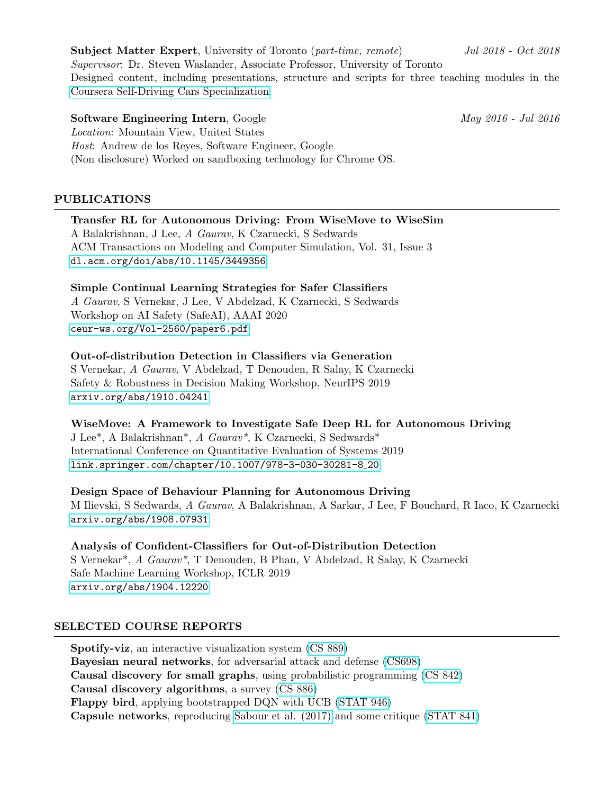Subject Matter Expert, University of Toronto (part-time, remote) Jul 2018 - Oct 2018 Supervisor: Dr. Steven Waslander, Associate Professor, University of Toronto Designed content, including presentations, structure and scripts for three teaching modules in the [Coursera Self-Driving Cars Specialization.](https://www.coursera.org/specializations/self-driving-cars)

# Software Engineering Intern, Google May 2016 - Jul 2016

Location: Mountain View, United States Host: Andrew de los Reyes, Software Engineer, Google (Non disclosure) Worked on sandboxing technology for Chrome OS.

# PUBLICATIONS

## Transfer RL for Autonomous Driving: From WiseMove to WiseSim

A Balakrishnan, J Lee, A Gaurav, K Czarnecki, S Sedwards ACM Transactions on Modeling and Computer Simulation, Vol. 31, Issue 3 [dl.acm.org/doi/abs/10.1145/3449356](https://dl.acm.org/doi/abs/10.1145/3449356)

#### Simple Continual Learning Strategies for Safer Classifiers

A Gaurav, S Vernekar, J Lee, V Abdelzad, K Czarnecki, S Sedwards Workshop on AI Safety (SafeAI), AAAI 2020 [ceur-ws.org/Vol-2560/paper6.pdf](http://ceur-ws.org/Vol-2560/paper6.pdf)

#### Out-of-distribution Detection in Classifiers via Generation

S Vernekar, A Gaurav, V Abdelzad, T Denouden, R Salay, K Czarnecki Safety & Robustness in Decision Making Workshop, NeurIPS 2019 [arxiv.org/abs/1910.04241](https://arxiv.org/abs/1910.04241)

#### WiseMove: A Framework to Investigate Safe Deep RL for Autonomous Driving

J Lee\*, A Balakrishnan\*, A Gaurav\*, K Czarnecki, S Sedwards\* International Conference on Quantitative Evaluation of Systems 2019 [link.springer.com/chapter/10.1007/978-3-030-30281-8](https://link.springer.com/chapter/10.1007/978-3-030-30281-8_20) 20

#### Design Space of Behaviour Planning for Autonomous Driving

M Ilievski, S Sedwards, A Gaurav, A Balakrishnan, A Sarkar, J Lee, F Bouchard, R Iaco, K Czarnecki [arxiv.org/abs/1908.07931](https://arxiv.org/abs/1908.07931)

#### Analysis of Confident-Classifiers for Out-of-Distribution Detection

S Vernekar\*, A Gaurav\*, T Denouden, B Phan, V Abdelzad, R Salay, K Czarnecki Safe Machine Learning Workshop, ICLR 2019 [arxiv.org/abs/1904.12220](https://arxiv.org/abs/1904.12220)

#### SELECTED COURSE REPORTS

Spotify-viz, an interactive visualization system [\(CS 889\)](https://drive.google.com/file/d/10VYIxpHjdZQwbLgaiDMSGiL_Z_pL8B1y/view?usp=sharing) Bayesian neural networks, for adversarial attack and defense [\(CS698\)](https://drive.google.com/file/d/1ahPdM1G13VlOgfCZCz2JSWp6Zbst5f1t/view?usp=sharing) Causal discovery for small graphs, using probabilistic programming [\(CS 842\)](https://drive.google.com/file/d/1UF6oYSclqEN4EPCPn8br7vmHf1FMz8B9/view?usp=sharing) Causal discovery algorithms, a survey [\(CS 886\)](https://drive.google.com/file/d/19YDu3fAFQOlrhHAfl__qKu4jjTJKp8TI/view?usp=sharing) Flappy bird, applying bootstrapped DQN with UCB [\(STAT 946\)](https://drive.google.com/file/d/13UtQPwtSYE57nDEWtzXsdiyDjsMfyJbD/view?usp=sharing) Capsule networks, reproducing [Sabour et al. \(2017\)](https://proceedings.neurips.cc/paper/2017/file/2cad8fa47bbef282badbb8de5374b894-Paper.pdf) and some critique [\(STAT 841\)](https://drive.google.com/file/d/1e5G4esSOQX7_dI2MxUogPt9rtUZpAXg5/view?usp=sharing)